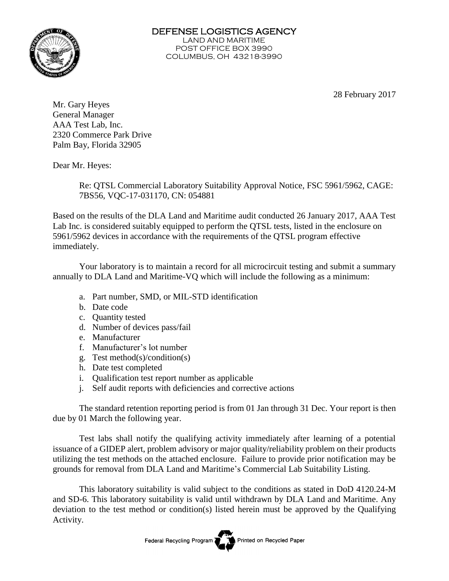

DEFENSE LOGISTICS AGENCY LAND AND MARITIME POST OFFICE BOX 3990 COLUMBUS, OH 43218-3990

28 February 2017

Mr. Gary Heyes General Manager AAA Test Lab, Inc. 2320 Commerce Park Drive Palm Bay, Florida 32905

Dear Mr. Heyes:

Re: QTSL Commercial Laboratory Suitability Approval Notice, FSC 5961/5962, CAGE: 7BS56, VQC-17-031170, CN: 054881

Based on the results of the DLA Land and Maritime audit conducted 26 January 2017, AAA Test Lab Inc. is considered suitably equipped to perform the QTSL tests, listed in the enclosure on 5961/5962 devices in accordance with the requirements of the QTSL program effective immediately.

Your laboratory is to maintain a record for all microcircuit testing and submit a summary annually to DLA Land and Maritime-VQ which will include the following as a minimum:

- a. Part number, SMD, or MIL-STD identification
- b. Date code
- c. Quantity tested
- d. Number of devices pass/fail
- e. Manufacturer
- f. Manufacturer's lot number
- g. Test method(s)/condition(s)
- h. Date test completed
- i. Qualification test report number as applicable
- j. Self audit reports with deficiencies and corrective actions

The standard retention reporting period is from 01 Jan through 31 Dec. Your report is then due by 01 March the following year.

Test labs shall notify the qualifying activity immediately after learning of a potential issuance of a GIDEP alert, problem advisory or major quality/reliability problem on their products utilizing the test methods on the attached enclosure. Failure to provide prior notification may be grounds for removal from DLA Land and Maritime's Commercial Lab Suitability Listing.

This laboratory suitability is valid subject to the conditions as stated in DoD 4120.24-M and SD-6. This laboratory suitability is valid until withdrawn by DLA Land and Maritime. Any deviation to the test method or condition(s) listed herein must be approved by the Qualifying Activity.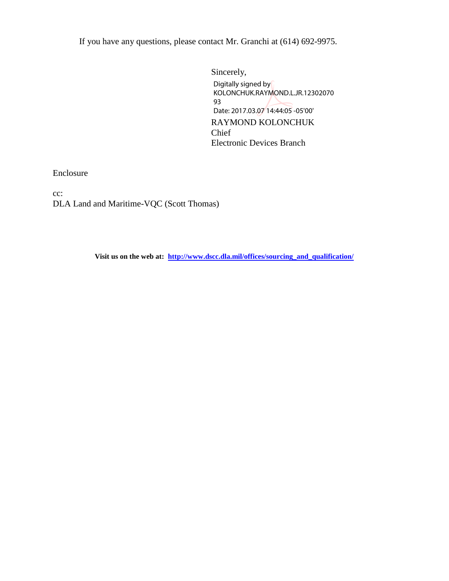If you have any questions, please contact Mr. Granchi at (614) 692-9975.

Sincerely, RAYMOND KOLONCHUK Chief Electronic Devices Branch Digitally signed by KOLONCHUK.RAYMOND.L.JR.12302070 93 Date: 2017.03.07 14:44:05 -05'00'

Enclosure

cc: DLA Land and Maritime-VQC (Scott Thomas)

**Visit us on the web at: [http://www.dscc.dla.mil/offices/sourcing\\_and\\_qualification/](http://www.dscc.dla.mil/offices/sourcing_and_qualification/index.html)**